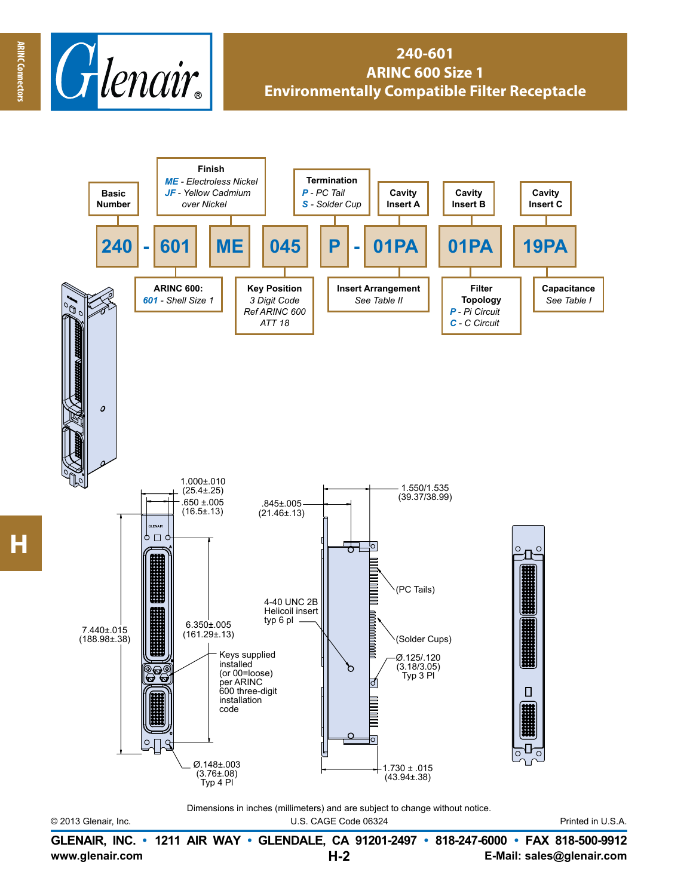

## **240-601 ARINC 600 Size 1 Environmentally Compatible Filter Receptacle**



© 2013 Glenair, Inc. U.S. CAGE Code 06324 Printed in U.S.A.

**www.glenair.com E-Mail: sales@glenair.com GLENAIR, INC. • 1211 AIR WAY • GLENDALE, CA 91201-2497 • 818-247-6000 • FAX 818-500-9912 H-2**